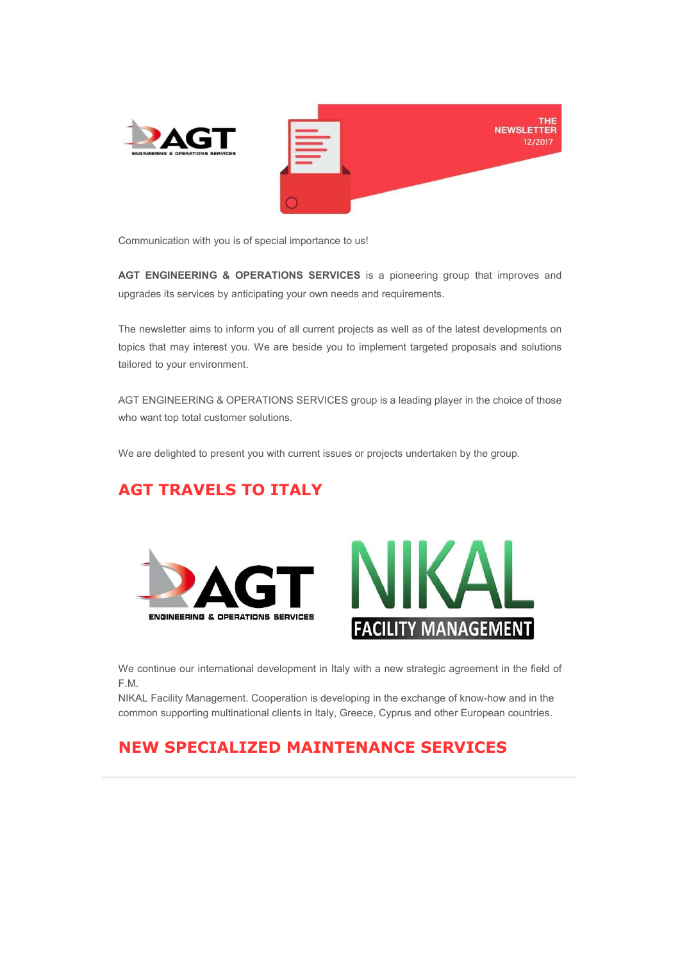

Communication with you is of special importance to us!

AGT ENGINEERING & OPERATIONS SERVICES is a pioneering group that improves and upgrades its services by anticipating your own needs and requirements.

The newsletter aims to inform you of all current projects as well as of the latest developments on topics that may interest you. We are beside you to implement targeted proposals and solutions tailored to your environment.

AGT ENGINEERING & OPERATIONS SERVICES group is a leading player in the choice of those who want top total customer solutions.

We are delighted to present you with current issues or projects undertaken by the group.

### AGT TRAVELS TO ITALY





We continue our international development in Italy with a new strategic agreement in the field of F.M.

NIKAL Facility Management. Cooperation is developing in the exchange of know-how and in the common supporting multinational clients in Italy, Greece, Cyprus and other European countries.

#### NEW SPECIALIZED MAINTENANCE SERVICES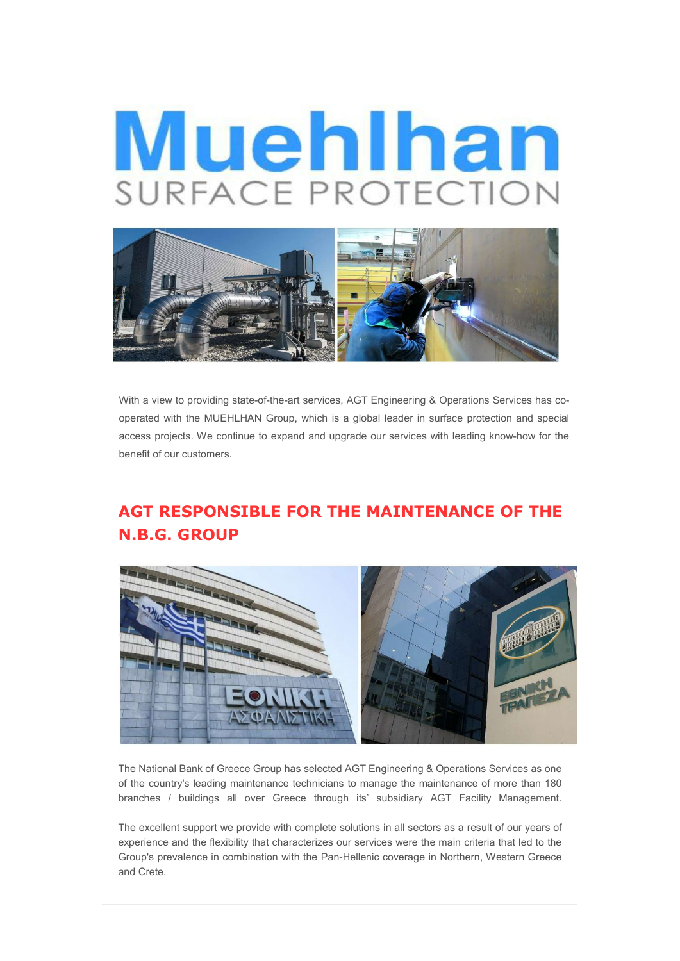# Muehlhan SURFACE PROTECTION



With a view to providing state-of-the-art services, AGT Engineering & Operations Services has cooperated with the MUEHLHAN Group, which is a global leader in surface protection and special access projects. We continue to expand and upgrade our services with leading know-how for the benefit of our customers.

### AGT RESPONSIBLE FOR THE MAINTENANCE OF THE N.B.G. GROUP



The National Bank of Greece Group has selected AGT Engineering & Operations Services as one of the country's leading maintenance technicians to manage the maintenance of more than 180 branches / buildings all over Greece through its' subsidiary AGT Facility Management.

The excellent support we provide with complete solutions in all sectors as a result of our years of experience and the flexibility that characterizes our services were the main criteria that led to the Group's prevalence in combination with the Pan-Hellenic coverage in Northern, Western Greece and Crete.